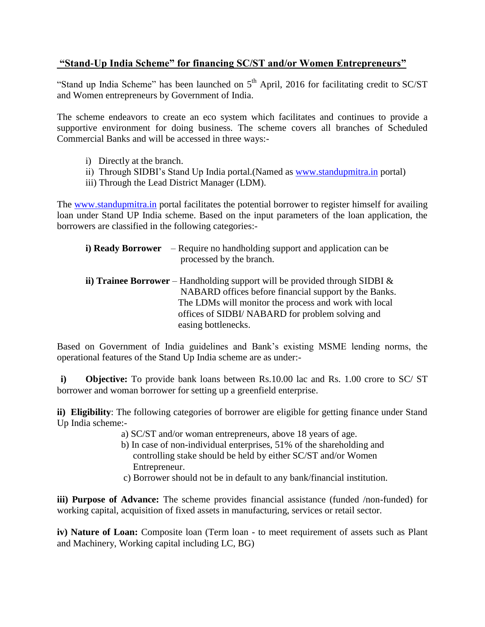## **"Stand-Up India Scheme" for financing SC/ST and/or Women Entrepreneurs"**

"Stand up India Scheme" has been launched on  $5<sup>th</sup>$  April, 2016 for facilitating credit to SC/ST and Women entrepreneurs by Government of India.

The scheme endeavors to create an eco system which facilitates and continues to provide a supportive environment for doing business. The scheme covers all branches of Scheduled Commercial Banks and will be accessed in three ways:-

- i) Directly at the branch.
- ii) Through SIDBI's Stand Up India portal. (Named as [www.standupmitra.in](http://www.standupmitra.in/) portal)
- iii) Through the Lead District Manager (LDM).

The [www.standupmitra.in](http://www.standupmitra.in/) portal facilitates the potential borrower to register himself for availing loan under Stand UP India scheme. Based on the input parameters of the loan application, the borrowers are classified in the following categories:-

- **i) Ready Borrower** Require no handholding support and application can be processed by the branch.
- **ii) Trainee Borrower** Handholding support will be provided through SIDBI & NABARD offices before financial support by the Banks. The LDMs will monitor the process and work with local offices of SIDBI/ NABARD for problem solving and easing bottlenecks.

Based on Government of India guidelines and Bank's existing MSME lending norms, the operational features of the Stand Up India scheme are as under:-

**i) Objective:** To provide bank loans between Rs.10.00 lac and Rs. 1.00 crore to SC/ ST borrower and woman borrower for setting up a greenfield enterprise.

**ii) Eligibility**: The following categories of borrower are eligible for getting finance under Stand Up India scheme:-

- a) SC/ST and/or woman entrepreneurs, above 18 years of age.
- b) In case of non-individual enterprises, 51% of the shareholding and controlling stake should be held by either SC/ST and/or Women Entrepreneur.
- c) Borrower should not be in default to any bank/financial institution.

**iii) Purpose of Advance:** The scheme provides financial assistance (funded /non-funded) for working capital, acquisition of fixed assets in manufacturing, services or retail sector.

**iv) Nature of Loan:** Composite loan (Term loan - to meet requirement of assets such as Plant and Machinery, Working capital including LC, BG)